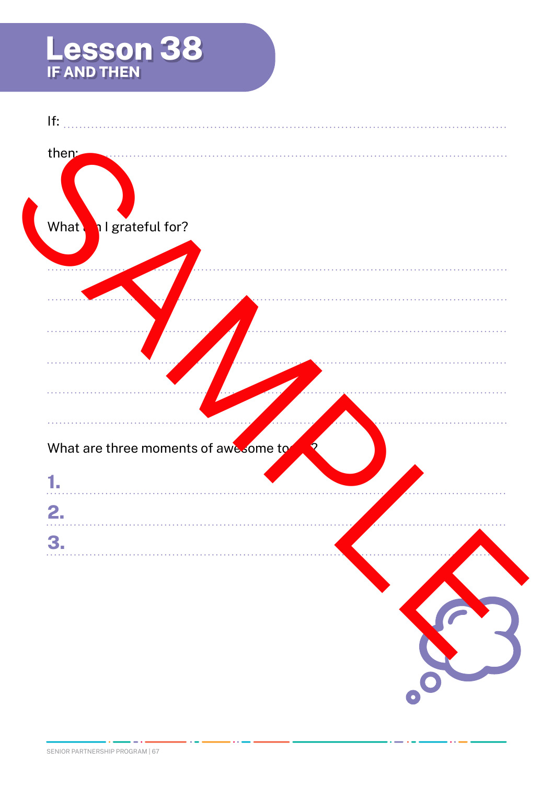## **Lesson 38 IF AND THEN**

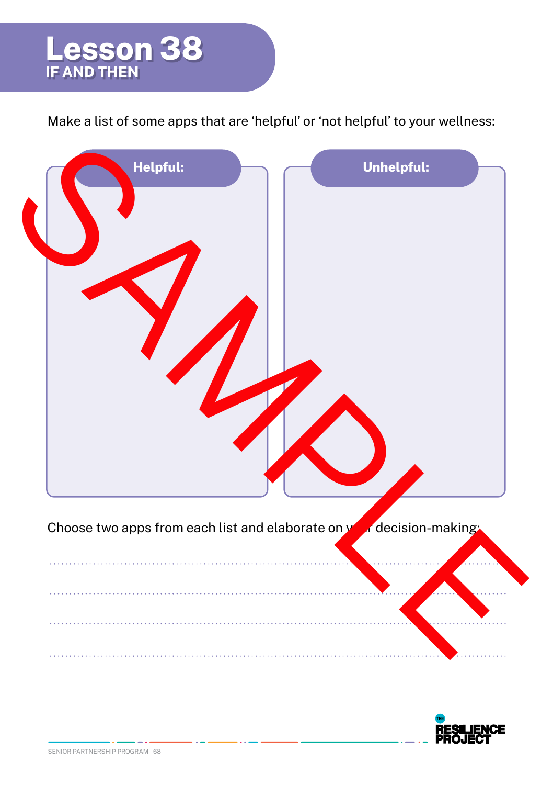

Make a list of some apps that are 'helpful' or 'not helpful' to your wellness:



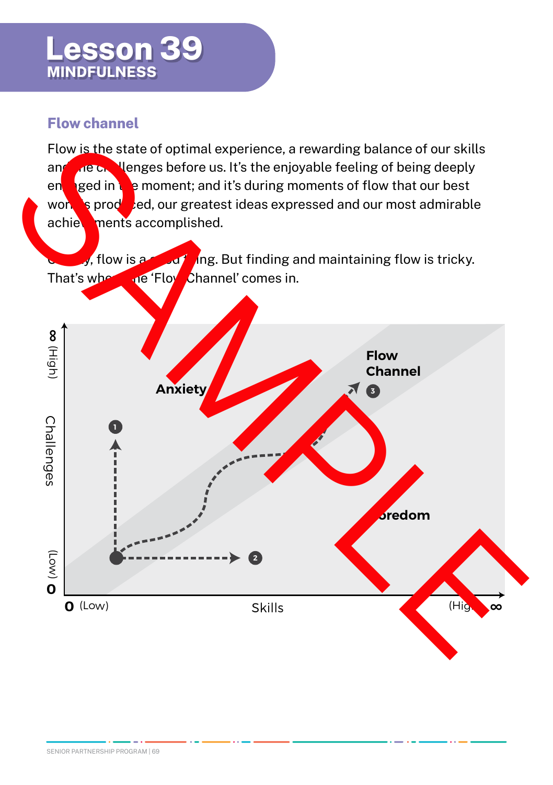## **Lesson 39 MINDFULNESS**

## **Flow channel**

Flow is the state of optimal experience, a rewarding balance of our skills and the challenges before us. It's the enjoyable feeling of being deeply engaged in the moment; and it's during moments of flow that our best work is produced, our greatest ideas expressed and our most admirable achievements accomplished.

 $\sqrt{s}$ , flow is a good thing. But finding and maintaining flow is tricky. That's where the 'Flow Channel' comes in.